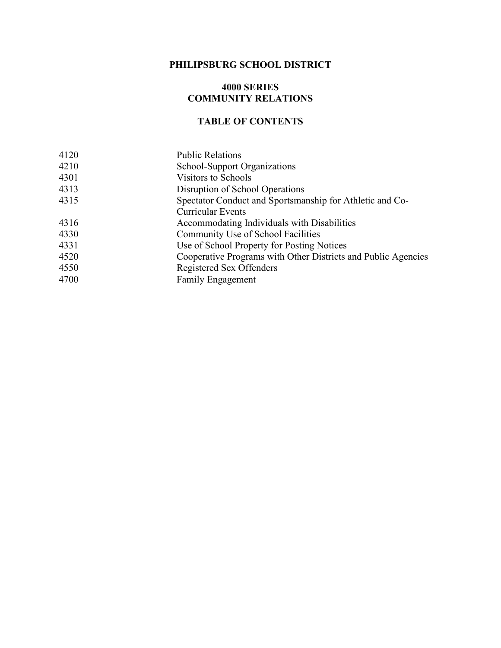## **PHILIPSBURG SCHOOL DISTRICT**

## **4000 SERIES COMMUNITY RELATIONS**

## **TABLE OF CONTENTS**

| 4120 | <b>Public Relations</b>                                       |
|------|---------------------------------------------------------------|
| 4210 | School-Support Organizations                                  |
| 4301 | Visitors to Schools                                           |
| 4313 | Disruption of School Operations                               |
| 4315 | Spectator Conduct and Sportsmanship for Athletic and Co-      |
|      | <b>Curricular Events</b>                                      |
| 4316 | Accommodating Individuals with Disabilities                   |
| 4330 | Community Use of School Facilities                            |
| 4331 | Use of School Property for Posting Notices                    |
| 4520 | Cooperative Programs with Other Districts and Public Agencies |
| 4550 | Registered Sex Offenders                                      |
| 4700 | <b>Family Engagement</b>                                      |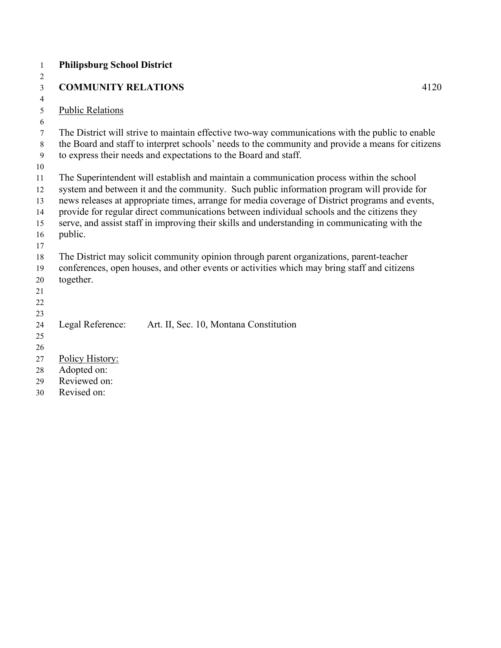| $\mathbf{1}$   | <b>Philipsburg School District</b>                                                                                                                                   |
|----------------|----------------------------------------------------------------------------------------------------------------------------------------------------------------------|
| $\overline{c}$ |                                                                                                                                                                      |
| $\mathfrak{Z}$ | <b>COMMUNITY RELATIONS</b><br>4120                                                                                                                                   |
| $\overline{4}$ |                                                                                                                                                                      |
| 5              | <b>Public Relations</b>                                                                                                                                              |
| 6              |                                                                                                                                                                      |
| $\tau$         | The District will strive to maintain effective two-way communications with the public to enable                                                                      |
| 8<br>9         | the Board and staff to interpret schools' needs to the community and provide a means for citizens<br>to express their needs and expectations to the Board and staff. |
| 10             |                                                                                                                                                                      |
| 11             | The Superintendent will establish and maintain a communication process within the school                                                                             |
| 12             | system and between it and the community. Such public information program will provide for                                                                            |
| 13             | news releases at appropriate times, arrange for media coverage of District programs and events,                                                                      |
| 14             | provide for regular direct communications between individual schools and the citizens they                                                                           |
| 15             | serve, and assist staff in improving their skills and understanding in communicating with the                                                                        |
| 16             | public.                                                                                                                                                              |
| 17             |                                                                                                                                                                      |
| 18             | The District may solicit community opinion through parent organizations, parent-teacher                                                                              |
| 19             | conferences, open houses, and other events or activities which may bring staff and citizens                                                                          |
| 20             | together.                                                                                                                                                            |
| 21             |                                                                                                                                                                      |
| 22             |                                                                                                                                                                      |
| 23             |                                                                                                                                                                      |
| 24             | Legal Reference:<br>Art. II, Sec. 10, Montana Constitution                                                                                                           |
| 25             |                                                                                                                                                                      |
| 26             |                                                                                                                                                                      |
| 27             | Policy History:                                                                                                                                                      |
| 28             | Adopted on:<br>Reviewed on:                                                                                                                                          |
| 29             | Revised on:                                                                                                                                                          |
| 30             |                                                                                                                                                                      |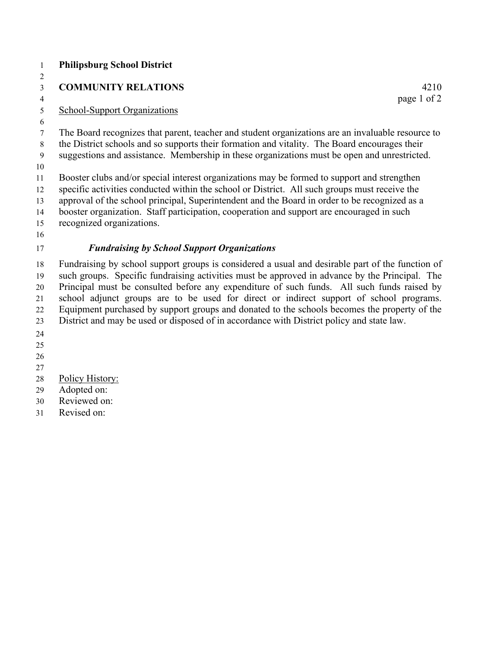- **Philipsburg School District COMMUNITY RELATIONS** 4210 4 page 1 of 2 School-Support Organizations The Board recognizes that parent, teacher and student organizations are an invaluable resource to the District schools and so supports their formation and vitality. The Board encourages their suggestions and assistance. Membership in these organizations must be open and unrestricted. Booster clubs and/or special interest organizations may be formed to support and strengthen specific activities conducted within the school or District. All such groups must receive the approval of the school principal, Superintendent and the Board in order to be recognized as a booster organization. Staff participation, cooperation and support are encouraged in such recognized organizations. *Fundraising by School Support Organizations* Fundraising by school support groups is considered a usual and desirable part of the function of such groups. Specific fundraising activities must be approved in advance by the Principal. The Principal must be consulted before any expenditure of such funds. All such funds raised by school adjunct groups are to be used for direct or indirect support of school programs. Equipment purchased by support groups and donated to the schools becomes the property of the District and may be used or disposed of in accordance with District policy and state law. Policy History: Adopted on:
- Reviewed on: Revised on: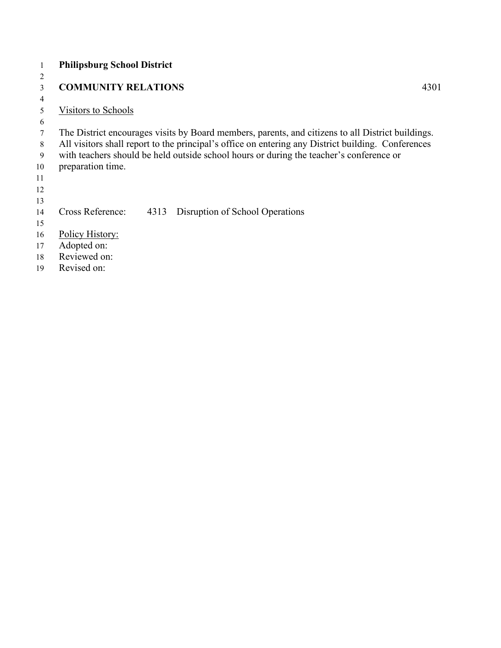|        | <b>Philipsburg School District</b> |      |                                                                                                    |      |
|--------|------------------------------------|------|----------------------------------------------------------------------------------------------------|------|
| 2      |                                    |      |                                                                                                    |      |
| 3      | <b>COMMUNITY RELATIONS</b>         |      |                                                                                                    | 4301 |
| 4      |                                    |      |                                                                                                    |      |
| 5      | Visitors to Schools                |      |                                                                                                    |      |
| 6      |                                    |      |                                                                                                    |      |
| 7      |                                    |      | The District encourages visits by Board members, parents, and citizens to all District buildings.  |      |
| 8      |                                    |      | All visitors shall report to the principal's office on entering any District building. Conferences |      |
| 9      |                                    |      | with teachers should be held outside school hours or during the teacher's conference or            |      |
| 10     | preparation time.                  |      |                                                                                                    |      |
| 11     |                                    |      |                                                                                                    |      |
| 12     |                                    |      |                                                                                                    |      |
| 13     |                                    |      |                                                                                                    |      |
| 14     | Cross Reference:                   | 4313 | Disruption of School Operations                                                                    |      |
| 15     |                                    |      |                                                                                                    |      |
| 16     | Policy History:                    |      |                                                                                                    |      |
| 17     | Adopted on:                        |      |                                                                                                    |      |
| 18     | Reviewed on:                       |      |                                                                                                    |      |
| $\sim$ |                                    |      |                                                                                                    |      |

Revised on: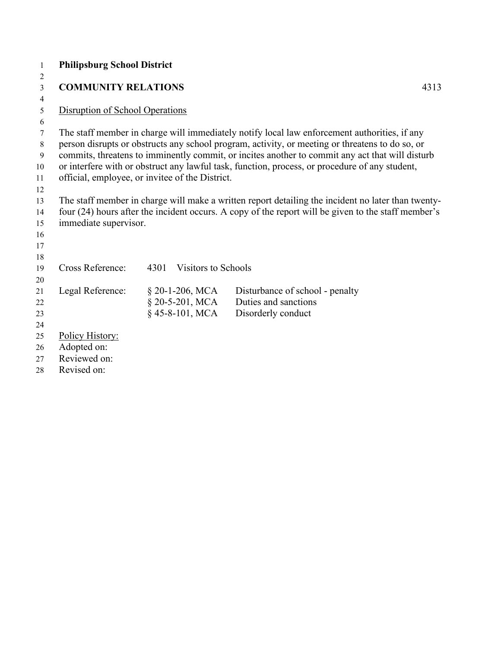| -1             | <b>Philipsburg School District</b>              |      |                            |                                                                                                                                                                                                 |  |
|----------------|-------------------------------------------------|------|----------------------------|-------------------------------------------------------------------------------------------------------------------------------------------------------------------------------------------------|--|
| 2              |                                                 |      |                            |                                                                                                                                                                                                 |  |
| 3              | <b>COMMUNITY RELATIONS</b>                      |      |                            | 4313                                                                                                                                                                                            |  |
| $\overline{4}$ |                                                 |      |                            |                                                                                                                                                                                                 |  |
| 5              | Disruption of School Operations                 |      |                            |                                                                                                                                                                                                 |  |
| 6<br>7<br>8    |                                                 |      |                            | The staff member in charge will immediately notify local law enforcement authorities, if any<br>person disrupts or obstructs any school program, activity, or meeting or threatens to do so, or |  |
| 9              |                                                 |      |                            | commits, threatens to imminently commit, or incites another to commit any act that will disturb                                                                                                 |  |
| 10             |                                                 |      |                            | or interfere with or obstruct any lawful task, function, process, or procedure of any student,                                                                                                  |  |
| 11<br>12       | official, employee, or invitee of the District. |      |                            |                                                                                                                                                                                                 |  |
| 13             |                                                 |      |                            | The staff member in charge will make a written report detailing the incident no later than twenty-                                                                                              |  |
| 14             |                                                 |      |                            | four (24) hours after the incident occurs. A copy of the report will be given to the staff member's                                                                                             |  |
| 15             | immediate supervisor.                           |      |                            |                                                                                                                                                                                                 |  |
| 16             |                                                 |      |                            |                                                                                                                                                                                                 |  |
| 17             |                                                 |      |                            |                                                                                                                                                                                                 |  |
| 18             |                                                 |      |                            |                                                                                                                                                                                                 |  |
| 19             | <b>Cross Reference:</b>                         | 4301 | <b>Visitors to Schools</b> |                                                                                                                                                                                                 |  |
| 20             |                                                 |      |                            |                                                                                                                                                                                                 |  |
| 21             | Legal Reference:                                |      | $\S$ 20-1-206, MCA         | Disturbance of school - penalty                                                                                                                                                                 |  |
| 22             |                                                 |      | $§$ 20-5-201, MCA          | Duties and sanctions                                                                                                                                                                            |  |
| 23             |                                                 |      | $§$ 45-8-101, MCA          | Disorderly conduct                                                                                                                                                                              |  |
| 24             |                                                 |      |                            |                                                                                                                                                                                                 |  |
| 25             | Policy History:                                 |      |                            |                                                                                                                                                                                                 |  |
| 26             | Adopted on:                                     |      |                            |                                                                                                                                                                                                 |  |
| 27             | Reviewed on:                                    |      |                            |                                                                                                                                                                                                 |  |
| 28             | Revised on:                                     |      |                            |                                                                                                                                                                                                 |  |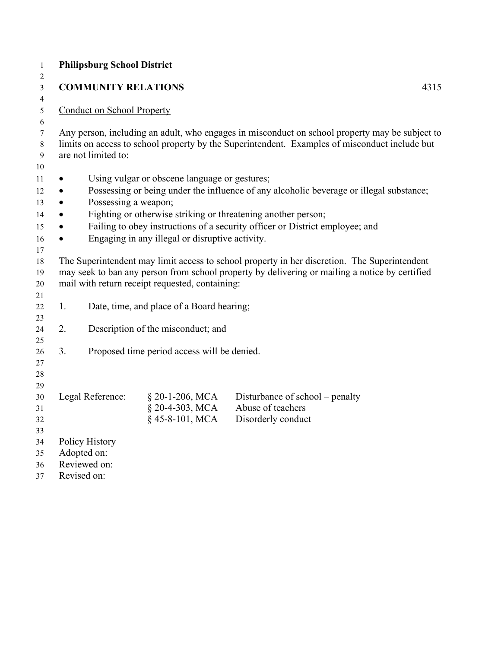| <b>Philipsburg School District</b> |                                   |                                                 |                                                                                                                                                                                                 |  |
|------------------------------------|-----------------------------------|-------------------------------------------------|-------------------------------------------------------------------------------------------------------------------------------------------------------------------------------------------------|--|
|                                    | <b>COMMUNITY RELATIONS</b>        |                                                 | 4315                                                                                                                                                                                            |  |
|                                    | <b>Conduct on School Property</b> |                                                 |                                                                                                                                                                                                 |  |
|                                    |                                   |                                                 |                                                                                                                                                                                                 |  |
|                                    |                                   |                                                 | Any person, including an adult, who engages in misconduct on school property may be subject to<br>limits on access to school property by the Superintendent. Examples of misconduct include but |  |
|                                    | are not limited to:               |                                                 |                                                                                                                                                                                                 |  |
|                                    |                                   |                                                 |                                                                                                                                                                                                 |  |
| $\bullet$                          |                                   | Using vulgar or obscene language or gestures;   |                                                                                                                                                                                                 |  |
| $\bullet$                          |                                   |                                                 | Possessing or being under the influence of any alcoholic beverage or illegal substance;                                                                                                         |  |
| $\bullet$                          | Possessing a weapon;              |                                                 |                                                                                                                                                                                                 |  |
| ٠                                  |                                   |                                                 | Fighting or otherwise striking or threatening another person;                                                                                                                                   |  |
|                                    |                                   |                                                 | Failing to obey instructions of a security officer or District employee; and                                                                                                                    |  |
| ٠                                  |                                   | Engaging in any illegal or disruptive activity. |                                                                                                                                                                                                 |  |
|                                    |                                   |                                                 |                                                                                                                                                                                                 |  |
|                                    |                                   |                                                 | The Superintendent may limit access to school property in her discretion. The Superintendent                                                                                                    |  |
|                                    |                                   |                                                 | may seek to ban any person from school property by delivering or mailing a notice by certified                                                                                                  |  |
|                                    |                                   | mail with return receipt requested, containing: |                                                                                                                                                                                                 |  |
|                                    |                                   |                                                 |                                                                                                                                                                                                 |  |
| 1.                                 |                                   | Date, time, and place of a Board hearing;       |                                                                                                                                                                                                 |  |
| 2.                                 |                                   | Description of the misconduct; and              |                                                                                                                                                                                                 |  |
|                                    |                                   |                                                 |                                                                                                                                                                                                 |  |
| 3.                                 |                                   | Proposed time period access will be denied.     |                                                                                                                                                                                                 |  |
|                                    |                                   |                                                 |                                                                                                                                                                                                 |  |
|                                    |                                   |                                                 |                                                                                                                                                                                                 |  |
|                                    |                                   |                                                 |                                                                                                                                                                                                 |  |
|                                    | Legal Reference:                  | § 20-1-206, MCA                                 | Disturbance of school – penalty                                                                                                                                                                 |  |
|                                    |                                   | § 20-4-303, MCA                                 | Abuse of teachers                                                                                                                                                                               |  |
|                                    |                                   | §45-8-101, MCA                                  | Disorderly conduct                                                                                                                                                                              |  |
|                                    |                                   |                                                 |                                                                                                                                                                                                 |  |
|                                    | <b>Policy History</b>             |                                                 |                                                                                                                                                                                                 |  |
|                                    | Adopted on:<br>Reviewed on:       |                                                 |                                                                                                                                                                                                 |  |
|                                    | Revised on:                       |                                                 |                                                                                                                                                                                                 |  |
|                                    |                                   |                                                 |                                                                                                                                                                                                 |  |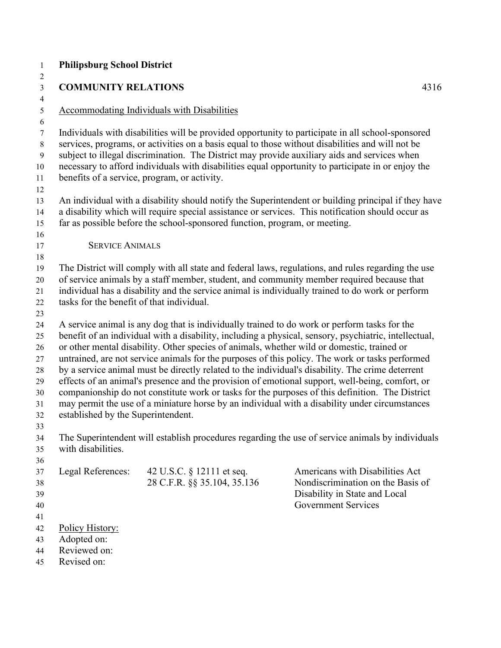| <b>COMMUNITY RELATIONS</b>                                                                                                                                                                                                                                                                                                                       |                                                          |                                                                                                                                                                                                                                                                                                                                                                                                                                                                                                                                                                                                                                                                                                                                                                                                                    |  |
|--------------------------------------------------------------------------------------------------------------------------------------------------------------------------------------------------------------------------------------------------------------------------------------------------------------------------------------------------|----------------------------------------------------------|--------------------------------------------------------------------------------------------------------------------------------------------------------------------------------------------------------------------------------------------------------------------------------------------------------------------------------------------------------------------------------------------------------------------------------------------------------------------------------------------------------------------------------------------------------------------------------------------------------------------------------------------------------------------------------------------------------------------------------------------------------------------------------------------------------------------|--|
|                                                                                                                                                                                                                                                                                                                                                  |                                                          | 4316                                                                                                                                                                                                                                                                                                                                                                                                                                                                                                                                                                                                                                                                                                                                                                                                               |  |
| <b>Accommodating Individuals with Disabilities</b>                                                                                                                                                                                                                                                                                               |                                                          |                                                                                                                                                                                                                                                                                                                                                                                                                                                                                                                                                                                                                                                                                                                                                                                                                    |  |
| benefits of a service, program, or activity.                                                                                                                                                                                                                                                                                                     |                                                          | Individuals with disabilities will be provided opportunity to participate in all school-sponsored<br>services, programs, or activities on a basis equal to those without disabilities and will not be<br>subject to illegal discrimination. The District may provide auxiliary aids and services when<br>necessary to afford individuals with disabilities equal opportunity to participate in or enjoy the                                                                                                                                                                                                                                                                                                                                                                                                        |  |
| far as possible before the school-sponsored function, program, or meeting.                                                                                                                                                                                                                                                                       |                                                          | An individual with a disability should notify the Superintendent or building principal if they have<br>a disability which will require special assistance or services. This notification should occur as                                                                                                                                                                                                                                                                                                                                                                                                                                                                                                                                                                                                           |  |
| <b>SERVICE ANIMALS</b>                                                                                                                                                                                                                                                                                                                           |                                                          |                                                                                                                                                                                                                                                                                                                                                                                                                                                                                                                                                                                                                                                                                                                                                                                                                    |  |
| The District will comply with all state and federal laws, regulations, and rules regarding the use<br>of service animals by a staff member, student, and community member required because that<br>individual has a disability and the service animal is individually trained to do work or perform<br>tasks for the benefit of that individual. |                                                          |                                                                                                                                                                                                                                                                                                                                                                                                                                                                                                                                                                                                                                                                                                                                                                                                                    |  |
| established by the Superintendent.                                                                                                                                                                                                                                                                                                               |                                                          | A service animal is any dog that is individually trained to do work or perform tasks for the<br>benefit of an individual with a disability, including a physical, sensory, psychiatric, intellectual,<br>or other mental disability. Other species of animals, whether wild or domestic, trained or<br>untrained, are not service animals for the purposes of this policy. The work or tasks performed<br>by a service animal must be directly related to the individual's disability. The crime deterrent<br>effects of an animal's presence and the provision of emotional support, well-being, comfort, or<br>companionship do not constitute work or tasks for the purposes of this definition. The District<br>may permit the use of a miniature horse by an individual with a disability under circumstances |  |
| with disabilities.                                                                                                                                                                                                                                                                                                                               |                                                          | The Superintendent will establish procedures regarding the use of service animals by individuals                                                                                                                                                                                                                                                                                                                                                                                                                                                                                                                                                                                                                                                                                                                   |  |
| Legal References:                                                                                                                                                                                                                                                                                                                                | 42 U.S.C. § 12111 et seq.<br>28 C.F.R. §§ 35.104, 35.136 | Americans with Disabilities Act<br>Nondiscrimination on the Basis of<br>Disability in State and Local<br><b>Government Services</b>                                                                                                                                                                                                                                                                                                                                                                                                                                                                                                                                                                                                                                                                                |  |
| Policy History:<br>Adopted on:<br>Reviewed on:<br>Revised on:                                                                                                                                                                                                                                                                                    |                                                          |                                                                                                                                                                                                                                                                                                                                                                                                                                                                                                                                                                                                                                                                                                                                                                                                                    |  |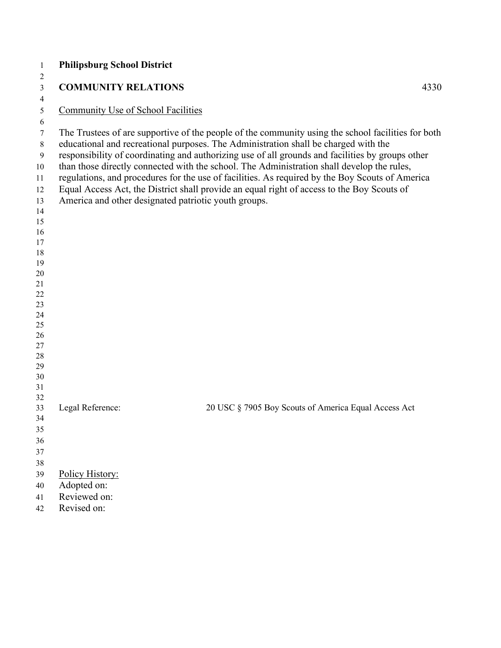| $\mathbf{1}$ | <b>Philipsburg School District</b>                   |                                                                                                    |      |
|--------------|------------------------------------------------------|----------------------------------------------------------------------------------------------------|------|
| 2            |                                                      |                                                                                                    |      |
| 3            | <b>COMMUNITY RELATIONS</b>                           |                                                                                                    | 4330 |
| 4            |                                                      |                                                                                                    |      |
| 5            | Community Use of School Facilities                   |                                                                                                    |      |
| 6            |                                                      |                                                                                                    |      |
| $\tau$       |                                                      | The Trustees of are supportive of the people of the community using the school facilities for both |      |
| 8            |                                                      | educational and recreational purposes. The Administration shall be charged with the                |      |
| 9            |                                                      | responsibility of coordinating and authorizing use of all grounds and facilities by groups other   |      |
| 10           |                                                      | than those directly connected with the school. The Administration shall develop the rules,         |      |
| 11           |                                                      | regulations, and procedures for the use of facilities. As required by the Boy Scouts of America    |      |
| 12           |                                                      | Equal Access Act, the District shall provide an equal right of access to the Boy Scouts of         |      |
| 13           | America and other designated patriotic youth groups. |                                                                                                    |      |
| 14           |                                                      |                                                                                                    |      |
| 15<br>16     |                                                      |                                                                                                    |      |
| 17           |                                                      |                                                                                                    |      |
| $18\,$       |                                                      |                                                                                                    |      |
| 19           |                                                      |                                                                                                    |      |
| 20           |                                                      |                                                                                                    |      |
| 21           |                                                      |                                                                                                    |      |
| 22           |                                                      |                                                                                                    |      |
| 23           |                                                      |                                                                                                    |      |
| 24           |                                                      |                                                                                                    |      |
| 25<br>26     |                                                      |                                                                                                    |      |
| 27           |                                                      |                                                                                                    |      |
| 28           |                                                      |                                                                                                    |      |
| 29           |                                                      |                                                                                                    |      |
| 30           |                                                      |                                                                                                    |      |
| 31           |                                                      |                                                                                                    |      |
| 32           |                                                      |                                                                                                    |      |
| 33           | Legal Reference:                                     | 20 USC § 7905 Boy Scouts of America Equal Access Act                                               |      |
| 34           |                                                      |                                                                                                    |      |
| 35           |                                                      |                                                                                                    |      |
| 36           |                                                      |                                                                                                    |      |
| 37           |                                                      |                                                                                                    |      |
| 38           |                                                      |                                                                                                    |      |
| 39<br>40     | Policy History:<br>Adopted on:                       |                                                                                                    |      |
| 41           | Reviewed on:                                         |                                                                                                    |      |
| 42           | Revised on:                                          |                                                                                                    |      |
|              |                                                      |                                                                                                    |      |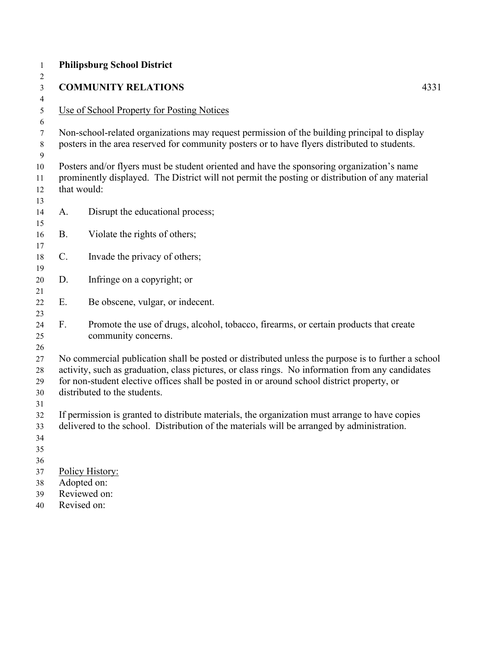| $\mathbf{1}$               |                 | <b>Philipsburg School District</b>                                                                                                                                                                                                                                                                                                   |      |
|----------------------------|-----------------|--------------------------------------------------------------------------------------------------------------------------------------------------------------------------------------------------------------------------------------------------------------------------------------------------------------------------------------|------|
| 2<br>$\mathfrak{Z}$        |                 | <b>COMMUNITY RELATIONS</b>                                                                                                                                                                                                                                                                                                           | 4331 |
| $\overline{4}$             |                 |                                                                                                                                                                                                                                                                                                                                      |      |
| $\mathfrak{S}$             |                 | Use of School Property for Posting Notices                                                                                                                                                                                                                                                                                           |      |
| 6                          |                 |                                                                                                                                                                                                                                                                                                                                      |      |
| $\tau$<br>8                |                 | Non-school-related organizations may request permission of the building principal to display<br>posters in the area reserved for community posters or to have flyers distributed to students.                                                                                                                                        |      |
| 9                          |                 |                                                                                                                                                                                                                                                                                                                                      |      |
| 10<br>11<br>12<br>13       |                 | Posters and/or flyers must be student oriented and have the sponsoring organization's name<br>prominently displayed. The District will not permit the posting or distribution of any material<br>that would:                                                                                                                         |      |
| 14<br>15                   | A.              | Disrupt the educational process;                                                                                                                                                                                                                                                                                                     |      |
| 16<br>17                   | <b>B.</b>       | Violate the rights of others;                                                                                                                                                                                                                                                                                                        |      |
| 18<br>19                   | $\mathcal{C}$ . | Invade the privacy of others;                                                                                                                                                                                                                                                                                                        |      |
| 20<br>21                   | D.              | Infringe on a copyright; or                                                                                                                                                                                                                                                                                                          |      |
| 22<br>23                   | Ε.              | Be obscene, vulgar, or indecent.                                                                                                                                                                                                                                                                                                     |      |
| 24<br>25<br>26             | F.              | Promote the use of drugs, alcohol, tobacco, firearms, or certain products that create<br>community concerns.                                                                                                                                                                                                                         |      |
| 27<br>28<br>29<br>30<br>31 |                 | No commercial publication shall be posted or distributed unless the purpose is to further a school<br>activity, such as graduation, class pictures, or class rings. No information from any candidates<br>for non-student elective offices shall be posted in or around school district property, or<br>distributed to the students. |      |
| 32<br>33<br>34<br>35<br>36 |                 | If permission is granted to distribute materials, the organization must arrange to have copies<br>delivered to the school. Distribution of the materials will be arranged by administration.                                                                                                                                         |      |
| 37<br>38<br>39<br>40       |                 | Policy History:<br>Adopted on:<br>Reviewed on:<br>Revised on:                                                                                                                                                                                                                                                                        |      |
|                            |                 |                                                                                                                                                                                                                                                                                                                                      |      |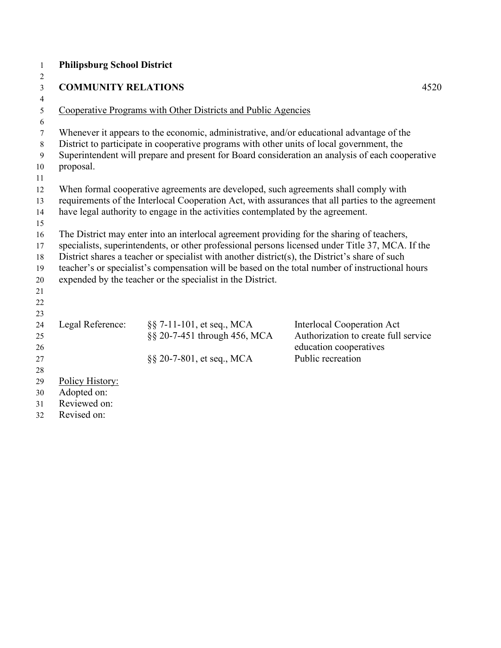| $\mathbf{1}$   | <b>Philipsburg School District</b> |                                                                                                |                                                                                                   |
|----------------|------------------------------------|------------------------------------------------------------------------------------------------|---------------------------------------------------------------------------------------------------|
| 2              |                                    |                                                                                                |                                                                                                   |
| $\mathfrak{Z}$ | <b>COMMUNITY RELATIONS</b>         |                                                                                                | 4520                                                                                              |
| $\overline{4}$ |                                    |                                                                                                |                                                                                                   |
| 5              |                                    | Cooperative Programs with Other Districts and Public Agencies                                  |                                                                                                   |
| 6              |                                    |                                                                                                |                                                                                                   |
| $\tau$         |                                    | Whenever it appears to the economic, administrative, and/or educational advantage of the       |                                                                                                   |
| 8              |                                    | District to participate in cooperative programs with other units of local government, the      |                                                                                                   |
| 9              |                                    |                                                                                                | Superintendent will prepare and present for Board consideration an analysis of each cooperative   |
| 10             | proposal.                          |                                                                                                |                                                                                                   |
| 11             |                                    |                                                                                                |                                                                                                   |
| 12             |                                    | When formal cooperative agreements are developed, such agreements shall comply with            |                                                                                                   |
| 13             |                                    |                                                                                                | requirements of the Interlocal Cooperation Act, with assurances that all parties to the agreement |
| 14             |                                    | have legal authority to engage in the activities contemplated by the agreement.                |                                                                                                   |
| 15             |                                    |                                                                                                |                                                                                                   |
| 16             |                                    | The District may enter into an interlocal agreement providing for the sharing of teachers,     | specialists, superintendents, or other professional persons licensed under Title 37, MCA. If the  |
| 17             |                                    | District shares a teacher or specialist with another district(s), the District's share of such |                                                                                                   |
| 18<br>19       |                                    |                                                                                                | teacher's or specialist's compensation will be based on the total number of instructional hours   |
| 20             |                                    | expended by the teacher or the specialist in the District.                                     |                                                                                                   |
| 21             |                                    |                                                                                                |                                                                                                   |
| 22             |                                    |                                                                                                |                                                                                                   |
| 23             |                                    |                                                                                                |                                                                                                   |
| 24             | Legal Reference:                   | §§ 7-11-101, et seq., MCA                                                                      | <b>Interlocal Cooperation Act</b>                                                                 |
| 25             |                                    | §§ 20-7-451 through 456, MCA                                                                   | Authorization to create full service                                                              |
| 26             |                                    |                                                                                                | education cooperatives                                                                            |
| 27             |                                    | §§ 20-7-801, et seq., MCA                                                                      | Public recreation                                                                                 |
| 28             |                                    |                                                                                                |                                                                                                   |
| 29             | Policy History:                    |                                                                                                |                                                                                                   |
| 30             | Adopted on:                        |                                                                                                |                                                                                                   |
| 31             | Reviewed on:                       |                                                                                                |                                                                                                   |
| 32             | Revised on:                        |                                                                                                |                                                                                                   |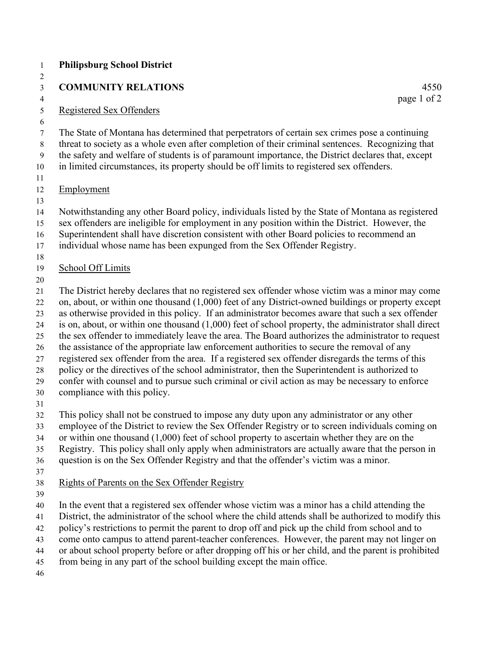| <b>Philipsburg School District</b>                                                                                                                                                                                                                                                                                                                                                                                                                                                                                                                                                                                                                                                                                                                                                                                                                                                                                                                           |
|--------------------------------------------------------------------------------------------------------------------------------------------------------------------------------------------------------------------------------------------------------------------------------------------------------------------------------------------------------------------------------------------------------------------------------------------------------------------------------------------------------------------------------------------------------------------------------------------------------------------------------------------------------------------------------------------------------------------------------------------------------------------------------------------------------------------------------------------------------------------------------------------------------------------------------------------------------------|
| <b>COMMUNITY RELATIONS</b><br>4550                                                                                                                                                                                                                                                                                                                                                                                                                                                                                                                                                                                                                                                                                                                                                                                                                                                                                                                           |
| page 1 of 2<br>Registered Sex Offenders                                                                                                                                                                                                                                                                                                                                                                                                                                                                                                                                                                                                                                                                                                                                                                                                                                                                                                                      |
| The State of Montana has determined that perpetrators of certain sex crimes pose a continuing<br>threat to society as a whole even after completion of their criminal sentences. Recognizing that<br>the safety and welfare of students is of paramount importance, the District declares that, except<br>in limited circumstances, its property should be off limits to registered sex offenders.                                                                                                                                                                                                                                                                                                                                                                                                                                                                                                                                                           |
| Employment                                                                                                                                                                                                                                                                                                                                                                                                                                                                                                                                                                                                                                                                                                                                                                                                                                                                                                                                                   |
| Notwithstanding any other Board policy, individuals listed by the State of Montana as registered<br>sex offenders are ineligible for employment in any position within the District. However, the<br>Superintendent shall have discretion consistent with other Board policies to recommend an<br>individual whose name has been expunged from the Sex Offender Registry.                                                                                                                                                                                                                                                                                                                                                                                                                                                                                                                                                                                    |
| School Off Limits                                                                                                                                                                                                                                                                                                                                                                                                                                                                                                                                                                                                                                                                                                                                                                                                                                                                                                                                            |
| The District hereby declares that no registered sex offender whose victim was a minor may come<br>on, about, or within one thousand (1,000) feet of any District-owned buildings or property except<br>as otherwise provided in this policy. If an administrator becomes aware that such a sex offender<br>is on, about, or within one thousand $(1,000)$ feet of school property, the administrator shall direct<br>the sex offender to immediately leave the area. The Board authorizes the administrator to request<br>the assistance of the appropriate law enforcement authorities to secure the removal of any<br>registered sex offender from the area. If a registered sex offender disregards the terms of this<br>policy or the directives of the school administrator, then the Superintendent is authorized to<br>confer with counsel and to pursue such criminal or civil action as may be necessary to enforce<br>compliance with this policy. |
| This policy shall not be construed to impose any duty upon any administrator or any other<br>employee of the District to review the Sex Offender Registry or to screen individuals coming on<br>or within one thousand $(1,000)$ feet of school property to ascertain whether they are on the<br>Registry. This policy shall only apply when administrators are actually aware that the person in<br>question is on the Sex Offender Registry and that the offender's victim was a minor.                                                                                                                                                                                                                                                                                                                                                                                                                                                                    |
| Rights of Parents on the Sex Offender Registry                                                                                                                                                                                                                                                                                                                                                                                                                                                                                                                                                                                                                                                                                                                                                                                                                                                                                                               |
| In the event that a registered sex offender whose victim was a minor has a child attending the<br>District, the administrator of the school where the child attends shall be authorized to modify this<br>policy's restrictions to permit the parent to drop off and pick up the child from school and to<br>come onto campus to attend parent-teacher conferences. However, the parent may not linger on<br>or about school property before or after dropping off his or her child, and the parent is prohibited<br>from being in any part of the school building except the main office.                                                                                                                                                                                                                                                                                                                                                                   |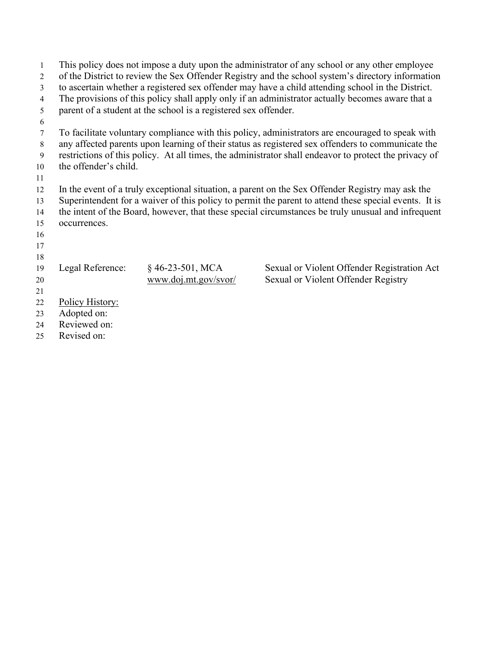| $\mathbf{1}$   |                                                                                                  |                                                                 | This policy does not impose a duty upon the administrator of any school or any other employee         |  |  |
|----------------|--------------------------------------------------------------------------------------------------|-----------------------------------------------------------------|-------------------------------------------------------------------------------------------------------|--|--|
| $\overline{2}$ |                                                                                                  |                                                                 | of the District to review the Sex Offender Registry and the school system's directory information     |  |  |
| 3              |                                                                                                  |                                                                 | to ascertain whether a registered sex offender may have a child attending school in the District.     |  |  |
| $\overline{4}$ | The provisions of this policy shall apply only if an administrator actually becomes aware that a |                                                                 |                                                                                                       |  |  |
| 5              |                                                                                                  | parent of a student at the school is a registered sex offender. |                                                                                                       |  |  |
| 6              |                                                                                                  |                                                                 |                                                                                                       |  |  |
| 7              |                                                                                                  |                                                                 | To facilitate voluntary compliance with this policy, administrators are encouraged to speak with      |  |  |
| 8              |                                                                                                  |                                                                 | any affected parents upon learning of their status as registered sex offenders to communicate the     |  |  |
| 9              |                                                                                                  |                                                                 | restrictions of this policy. At all times, the administrator shall endeavor to protect the privacy of |  |  |
| 10             | the offender's child.                                                                            |                                                                 |                                                                                                       |  |  |
| 11             |                                                                                                  |                                                                 |                                                                                                       |  |  |
| 12             |                                                                                                  |                                                                 | In the event of a truly exceptional situation, a parent on the Sex Offender Registry may ask the      |  |  |
| 13             |                                                                                                  |                                                                 | Superintendent for a waiver of this policy to permit the parent to attend these special events. It is |  |  |
| 14             |                                                                                                  |                                                                 | the intent of the Board, however, that these special circumstances be truly unusual and infrequent    |  |  |
| 15             | occurrences.                                                                                     |                                                                 |                                                                                                       |  |  |
| 16             |                                                                                                  |                                                                 |                                                                                                       |  |  |
| 17             |                                                                                                  |                                                                 |                                                                                                       |  |  |
| 18             |                                                                                                  |                                                                 |                                                                                                       |  |  |
| 19             | Legal Reference:                                                                                 | $§$ 46-23-501, MCA                                              | Sexual or Violent Offender Registration Act                                                           |  |  |
| 20             |                                                                                                  | www.doj.mt.gov/svor/                                            | Sexual or Violent Offender Registry                                                                   |  |  |
| 21             |                                                                                                  |                                                                 |                                                                                                       |  |  |
| 22             | Policy History:                                                                                  |                                                                 |                                                                                                       |  |  |
| 23             | Adopted on:                                                                                      |                                                                 |                                                                                                       |  |  |
| 24             | Reviewed on:                                                                                     |                                                                 |                                                                                                       |  |  |
| 25             | Revised on:                                                                                      |                                                                 |                                                                                                       |  |  |
|                |                                                                                                  |                                                                 |                                                                                                       |  |  |